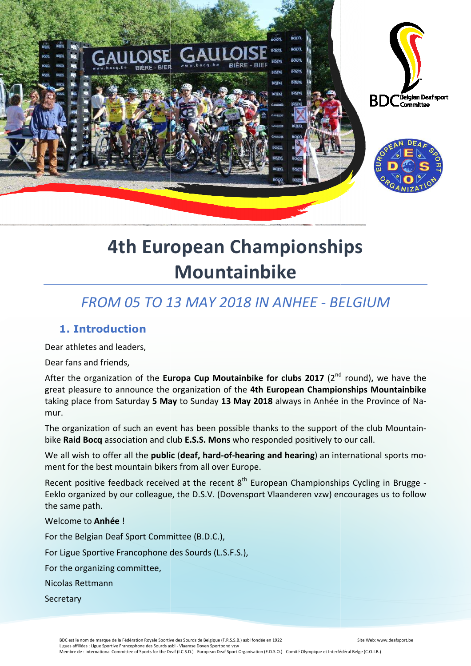

# **4th European Championships Mountainbike**

## *FROM 05 TO 13 MAY 2018 IN ANHEE - BELGIUM*

## **1. Introduction**

Dear athletes and leaders,

Dear fans and friends,

After the organization of the Europa Cup Moutainbike for clubs 2017 (2<sup>nd</sup> round), we have the great pleasure to announce the organization of the **4th European Championships Mountainbike** taking place from Saturday 5 May to Sunday 13 May 2018 always in Anhée in the Province of Namur.

The organization of such an event has been possible thanks to the support of the club Mountai Mountainbike **Raid Bocq** association and club **E.S.S. Mons** who responded positively to our call.

We all wish to offer all the **public (deaf, hard-of-hearing and hearing**) an international sports moment for the best mountain bikers from all over Europe.

Recent positive feedback received at the recent  $8^{th}$  European Championships Cycling in Brugge -Eeklo organized by our colleague, the D.S.V. (Dovensport Vlaanderen vzw) encourages us to follow the same path.

#### Welcome to **Anhée** !

For the Belgian Deaf Sport Committee (B.D.C.),

For Ligue Sportive Francophone des Sourds (L.S.F.S.),

For the organizing committee,

Nicolas Rettmann

**Secretary** 

BDC est le nom de marque de la Fédération Royale Sportive des Sourds de Belgique (F.R.S.S.B.) asbl fondée en 1922 Ligues affiliées : Ligue Sportive Francophone des Sourds asbl - Vlaamse Doven Sportbond vzw

Site Web: www.deafsport.be

Membre de : International Committee of Sports for the Deaf (I.C.S.D.) - European Deaf Sport Organisation (E.D.S.O.) - Comité Olympique et Interfédéral Belge (C.O.I.B.)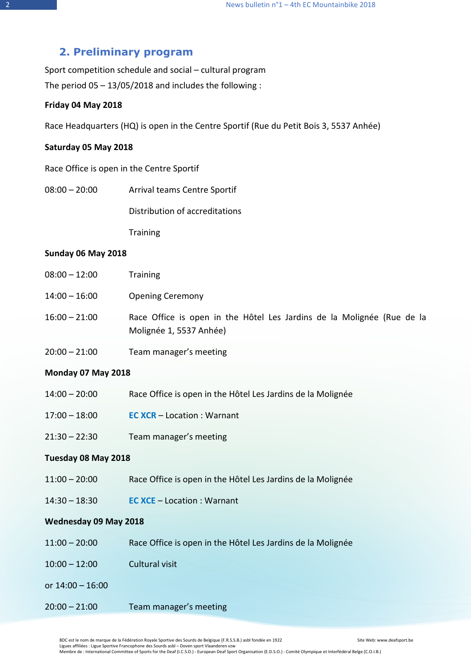## **2. Preliminary program**

Sport competition schedule and social – cultural program The period  $05 - 13/05/2018$  and includes the following :

#### **Friday 04 May 2018**

Race Headquarters (HQ) is open in the Centre Sportif (Rue du Petit Bois 3, 5537 Anhée)

#### **Saturday 05 May 2018**

Race Office is open in the Centre Sportif

08:00 – 20:00 Arrival teams Centre Sportif

Distribution of accreditations

**Training** 

#### **Sunday 06 May 2018**

| $08:00 - 12:00$ | <b>Training</b>                                                                                   |
|-----------------|---------------------------------------------------------------------------------------------------|
| $14:00 - 16:00$ | <b>Opening Ceremony</b>                                                                           |
| $16:00 - 21:00$ | Race Office is open in the Hôtel Les Jardins de la Molignée (Rue de la<br>Molignée 1, 5537 Anhée) |
| $20:00 - 21:00$ | Team manager's meeting                                                                            |

#### **Monday 07 May 2018**

- 14:00 20:00 Race Office is open in the Hôtel Les Jardins de la Molignée
- 17:00 18:00 **EC XCR** Location : Warnant
- 21:30 22:30 Team manager's meeting

#### **Tuesday 08 May 2018**

- 11:00 20:00 Race Office is open in the Hôtel Les Jardins de la Molignée
- 14:30 18:30 **EC XCE** Location : Warnant

#### **Wednesday 09 May 2018**

- 11:00 20:00 Race Office is open in the Hôtel Les Jardins de la Molignée
- 10:00 12:00 Cultural visit
- or 14:00 16:00
- 20:00 21:00 Team manager's meeting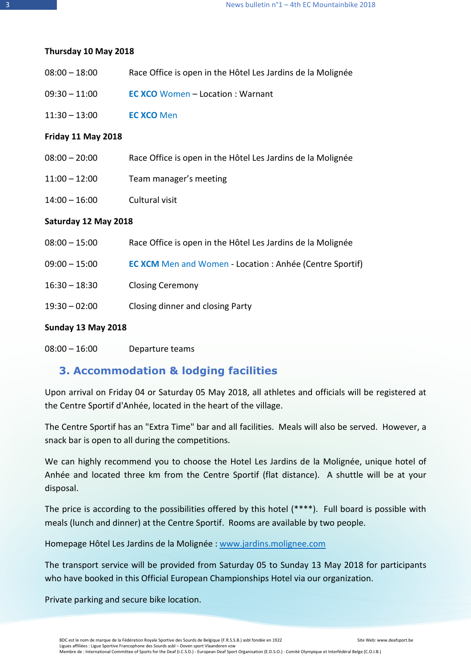#### **Thursday 10 May 2018**

| $08:00 - 18:00$ | Race Office is open in the Hôtel Les Jardins de la Molignée |
|-----------------|-------------------------------------------------------------|
|-----------------|-------------------------------------------------------------|

- 09:30 11:00 **EC XCO** Women Location : Warnant
- 11:30 13:00 **EC XCO** Men

#### **Friday 11 May 2018**

| 08:00 – 20:00 | Race Office is open in the Hôtel Les Jardins de la Molignée |
|---------------|-------------------------------------------------------------|
| 11:00 – 12:00 | Team manager's meeting                                      |

14:00 – 16:00 Cultural visit

#### **Saturday 12 May 2018**

| $08:00 - 15:00$ | Race Office is open in the Hôtel Les Jardins de la Molignée     |
|-----------------|-----------------------------------------------------------------|
| $09:00 - 15:00$ | <b>EC XCM</b> Men and Women - Location : Anhée (Centre Sportif) |
| $16:30 - 18:30$ | <b>Closing Ceremony</b>                                         |
| $19:30 - 02:00$ | Closing dinner and closing Party                                |

#### **Sunday 13 May 2018**

08:00 – 16:00 Departure teams

## **3. Accommodation & lodging facilities**

Upon arrival on Friday 04 or Saturday 05 May 2018, all athletes and officials will be registered at the Centre Sportif d'Anhée, located in the heart of the village.

The Centre Sportif has an "Extra Time" bar and all facilities. Meals will also be served. However, a snack bar is open to all during the competitions.

We can highly recommend you to choose the Hotel Les Jardins de la Molignée, unique hotel of Anhée and located three km from the Centre Sportif (flat distance). A shuttle will be at your disposal.

The price is according to the possibilities offered by this hotel (\*\*\*\*). Full board is possible with meals (lunch and dinner) at the Centre Sportif. Rooms are available by two people.

Homepage Hôtel Les Jardins de la Molignée : www.jardins.molignee.com

The transport service will be provided from Saturday 05 to Sunday 13 May 2018 for participants who have booked in this Official European Championships Hotel via our organization.

Private parking and secure bike location.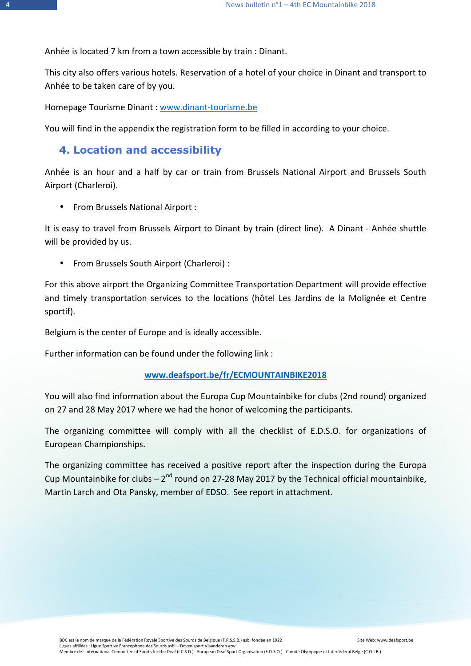Anhée is located 7 km from a town accessible by train : Dinant.

This city also offers various hotels. Reservation of a hotel of your choice in Dinant and transport to Anhée to be taken care of by you.

Homepage Tourisme Dinant : www.dinant-tourisme.be

You will find in the appendix the registration form to be filled in according to your choice.

## **4. Location and accessibility**

Anhée is an hour and a half by car or train from Brussels National Airport and Brussels South Airport (Charleroi).

• From Brussels National Airport :

It is easy to travel from Brussels Airport to Dinant by train (direct line). A Dinant - Anhée shuttle will be provided by us.

• From Brussels South Airport (Charleroi) :

For this above airport the Organizing Committee Transportation Department will provide effective and timely transportation services to the locations (hôtel Les Jardins de la Molignée et Centre sportif).

Belgium is the center of Europe and is ideally accessible.

Further information can be found under the following link :

## **www.deafsport.be/fr/ECMOUNTAINBIKE2018**

You will also find information about the Europa Cup Mountainbike for clubs (2nd round) organized on 27 and 28 May 2017 where we had the honor of welcoming the participants.

The organizing committee will comply with all the checklist of E.D.S.O. for organizations of European Championships.

The organizing committee has received a positive report after the inspection during the Europa Cup Mountainbike for clubs  $-2^{nd}$  round on 27-28 May 2017 by the Technical official mountainbike, Martin Larch and Ota Pansky, member of EDSO. See report in attachment.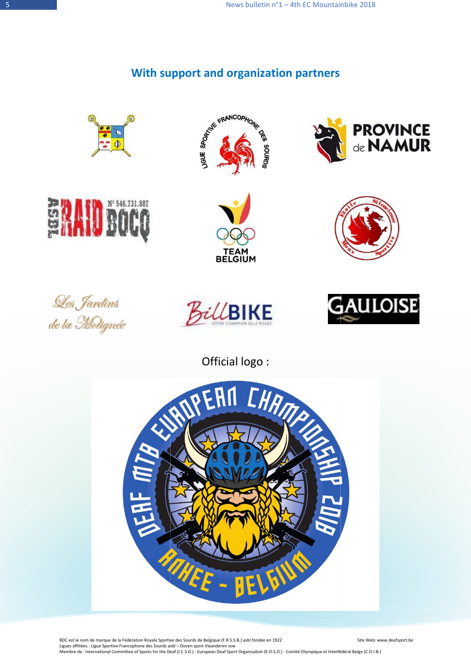## **With support and organization partners**











**PROVINCE**<br>de **NAMUR** 







Official logo :



 BDC est le nom de marque de la Fédération Royale Sportive des Sourds de Belgique (F.R.S.S.B.) asbl fondée en 1922 Ligues affiliées : Ligue Sportive Francophone des Sourds asbl – Doven sport Vlaanderen vzw Membre de : International Committee of Sports for the Deaf (I.C.S.D.) - European Deaf Sport Organisation (E.D.S.O.) - Comité Olympique et Interfédéral Belge (C.O.I.B.) Site Web: www.deafsport.be